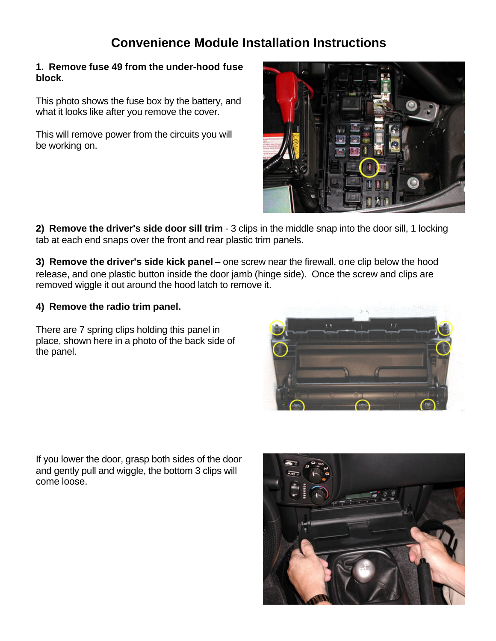## **Convenience Module Installation Instructions**

#### **1. Remove fuse 49 from the under-hood fuse block**.

This photo shows the fuse box by the battery, and what it looks like after you remove the cover.

This will remove power from the circuits you will be working on.



**2) Remove the driver's side door sill trim** - 3 clips in the middle snap into the door sill, 1 locking tab at each end snaps over the front and rear plastic trim panels.

**3) Remove the driver's side kick panel** – one screw near the firewall, one clip below the hood release, and one plastic button inside the door jamb (hinge side). Once the screw and clips are removed wiggle it out around the hood latch to remove it.

## **4) Remove the radio trim panel.**

There are 7 spring clips holding this panel in place, shown here in a photo of the back side of the panel.



If you lower the door, grasp both sides of the door and gently pull and wiggle, the bottom 3 clips will come loose.

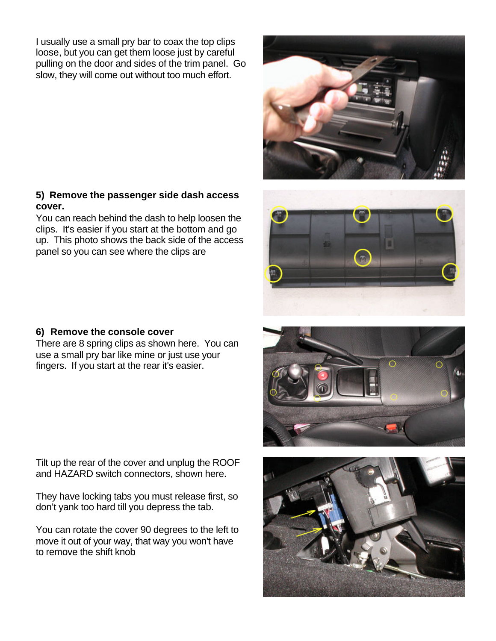I usually use a small pry bar to coax the top clips loose, but you can get them loose just by careful pulling on the door and sides of the trim panel. Go slow, they will come out without too much effort.

#### **5) Remove the passenger side dash access cover.**

You can reach behind the dash to help loosen the clips. It's easier if you start at the bottom and go up. This photo shows the back side of the access panel so you can see where the clips are

### **6) Remove the console cover**

There are 8 spring clips as shown here. You can use a small pry bar like mine or just use your fingers. If you start at the rear it's easier.

Tilt up the rear of the cover and unplug the ROOF and HAZARD switch connectors, shown here.

They have locking tabs you must release first, so don't yank too hard till you depress the tab.

You can rotate the cover 90 degrees to the left to move it out of your way, that way you won't have to remove the shift knob









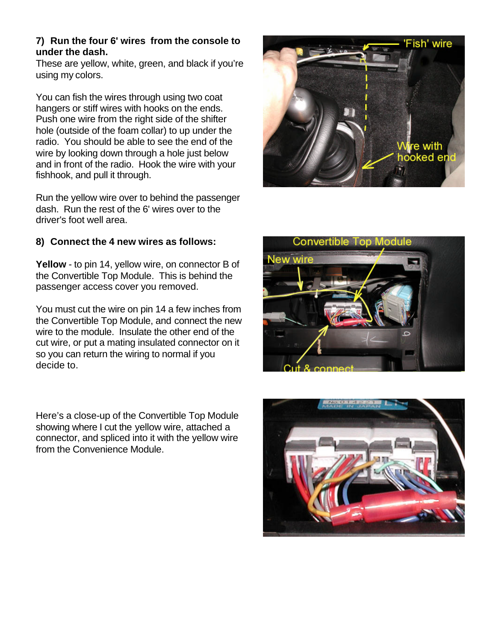#### **7) Run the four 6' wires from the console to under the dash.**

These are yellow, white, green, and black if you're using my colors.

You can fish the wires through using two coat hangers or stiff wires with hooks on the ends. Push one wire from the right side of the shifter hole (outside of the foam collar) to up under the radio. You should be able to see the end of the wire by looking down through a hole just below and in front of the radio. Hook the wire with your fishhook, and pull it through.

Run the yellow wire over to behind the passenger dash. Run the rest of the 6' wires over to the driver's foot well area.

## **8) Connect the 4 new wires as follows:**

**Yellow** - to pin 14, yellow wire, on connector B of the Convertible Top Module. This is behind the passenger access cover you removed.

You must cut the wire on pin 14 a few inches from the Convertible Top Module, and connect the new wire to the module. Insulate the other end of the cut wire, or put a mating insulated connector on it so you can return the wiring to normal if you decide to.

Here's a close-up of the Convertible Top Module showing where I cut the yellow wire, attached a connector, and spliced into it with the yellow wire from the Convenience Module.





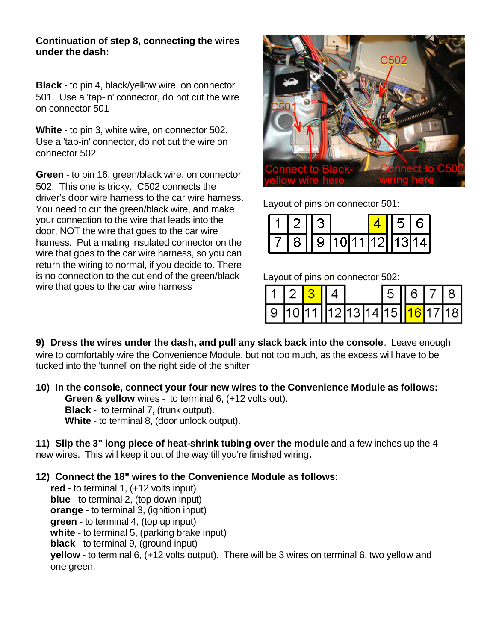#### **Continuation of step 8, connecting the wires under the dash:**

**Black** - to pin 4, black/yellow wire, on connector 501. Use a 'tap-in' connector, do not cut the wire on connector 501

**White** - to pin 3, white wire, on connector 502. Use a 'tap-in' connector, do not cut the wire on connector 502

**Green** - to pin 16, green/black wire, on connector 502. This one is tricky. C502 connects the driver's door wire harness to the car wire harness. You need to cut the green/black wire, and make your connection to the wire that leads into the door, NOT the wire that goes to the car wire harness. Put a mating insulated connector on the wire that goes to the car wire harness, so you can return the wiring to normal, if you decide to. There is no connection to the cut end of the green/black wire that goes to the car wire harness



Layout of pins on connector 501:

|  | $112$ $13$ |                      | 56161 |  |
|--|------------|----------------------|-------|--|
|  |            | 7 8 9 10 11 12 13 14 |       |  |

Layout of pins on connector 502:

|  | 1   2   <mark>3  </mark> 1 4 |  | 5 6 7 8 |  |  |
|--|------------------------------|--|---------|--|--|
|  | 9 10 11 12 13 14 15 16 17 18 |  |         |  |  |

**9) Dress the wires under the dash, and pull any slack back into the console**. Leave enough wire to comfortably wire the Convenience Module, but not too much, as the excess will have to be tucked into the 'tunnel' on the right side of the shifter

**10) In the console, connect your four new wires to the Convenience Module as follows: Green & yellow** wires - to terminal 6, (+12 volts out). **Black** - to terminal 7, (trunk output). **White** - to terminal 8, (door unlock output).

**11) Slip the 3" long piece of heat-shrink tubing over the module** and a few inches up the 4 new wires. This will keep it out of the way till you're finished wiring**.**

**12) Connect the 18" wires to the Convenience Module as follows:**

**red** - to terminal 1, (+12 volts input) **blue** - to terminal 2, (top down input) **orange** - to terminal 3, (ignition input) **green** - to terminal 4, (top up input) **white** - to terminal 5, (parking brake input) **black** - to terminal 9, (ground input) **yellow** - to terminal 6, (+12 volts output). There will be 3 wires on terminal 6, two yellow and one green.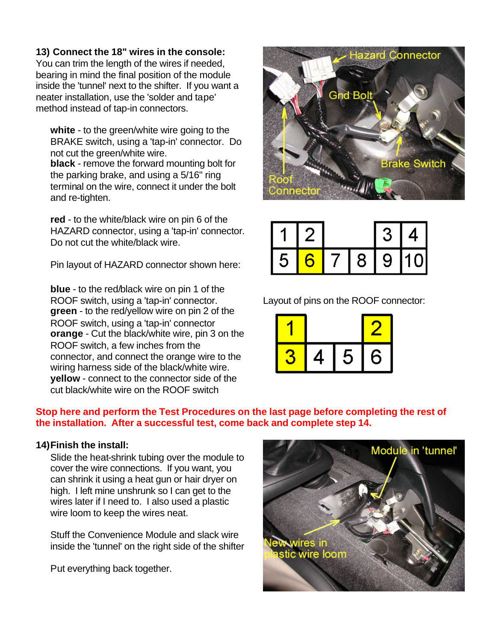### **13) Connect the 18" wires in the console:**

You can trim the length of the wires if needed, bearing in mind the final position of the module inside the 'tunnel' next to the shifter. If you want a neater installation, use the 'solder and tape' method instead of tap-in connectors.

**white** - to the green/white wire going to the BRAKE switch, using a 'tap-in' connector. Do not cut the green/white wire. **black** - remove the forward mounting bolt for the parking brake, and using a 5/16" ring terminal on the wire, connect it under the bolt and re-tighten.

**red** - to the white/black wire on pin 6 of the HAZARD connector, using a 'tap-in' connector. Do not cut the white/black wire.

Pin layout of HAZARD connector shown here:

**blue** - to the red/black wire on pin 1 of the ROOF switch, using a 'tap-in' connector. **green** - to the red/yellow wire on pin 2 of the ROOF switch, using a 'tap-in' connector **orange** - Cut the black/white wire, pin 3 on the ROOF switch, a few inches from the connector, and connect the orange wire to the wiring harness side of the black/white wire. **yellow** - connect to the connector side of the cut black/white wire on the ROOF switch



|   |  |   | J | ∸ |
|---|--|---|---|---|
| 5 |  | 8 | 9 |   |

Layout of pins on the ROOF connector:



#### **Stop here and perform the Test Procedures on the last page before completing the rest of the installation. After a successful test, come back and complete step 14.**

#### **14)Finish the install:**

Slide the heat-shrink tubing over the module to cover the wire connections. If you want, you can shrink it using a heat gun or hair dryer on high. I left mine unshrunk so I can get to the wires later if I need to. I also used a plastic wire loom to keep the wires neat.

Stuff the Convenience Module and slack wire inside the 'tunnel' on the right side of the shifter

Put everything back together.

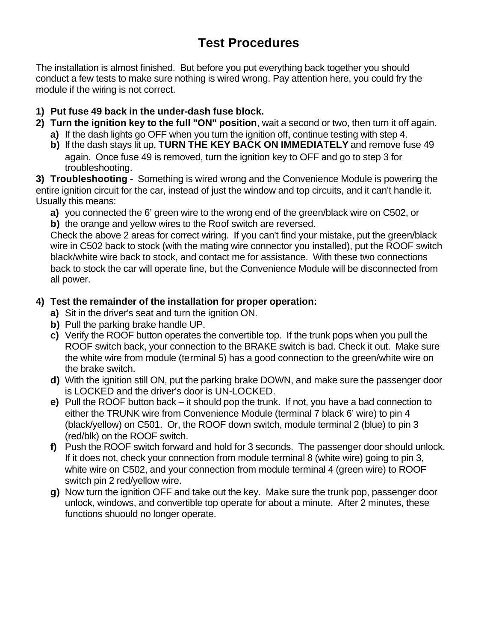# **Test Procedures**

The installation is almost finished. But before you put everything back together you should conduct a few tests to make sure nothing is wired wrong. Pay attention here, you could fry the module if the wiring is not correct.

## **1) Put fuse 49 back in the under-dash fuse block.**

- **2) Turn the ignition key to the full "ON" position**, wait a second or two, then turn it off again.
	- **a)** If the dash lights go OFF when you turn the ignition off, continue testing with step 4.
	- **b)** If the dash stays lit up, **TURN THE KEY BACK ON IMMEDIATELY** and remove fuse 49 again. Once fuse 49 is removed, turn the ignition key to OFF and go to step 3 for troubleshooting.

**3) Troubleshooting** - Something is wired wrong and the Convenience Module is powering the entire ignition circuit for the car, instead of just the window and top circuits, and it can't handle it. Usually this means:

**a)** you connected the 6' green wire to the wrong end of the green/black wire on C502, or

**b)** the orange and yellow wires to the Roof switch are reversed.

Check the above 2 areas for correct wiring. If you can't find your mistake, put the green/black wire in C502 back to stock (with the mating wire connector you installed), put the ROOF switch black/white wire back to stock, and contact me for assistance. With these two connections back to stock the car will operate fine, but the Convenience Module will be disconnected from all power.

## **4) Test the remainder of the installation for proper operation:**

- **a)** Sit in the driver's seat and turn the ignition ON.
- **b)** Pull the parking brake handle UP.
- **c)** Verify the ROOF button operates the convertible top. If the trunk pops when you pull the ROOF switch back, your connection to the BRAKE switch is bad. Check it out. Make sure the white wire from module (terminal 5) has a good connection to the green/white wire on the brake switch.
- **d)** With the ignition still ON, put the parking brake DOWN, and make sure the passenger door is LOCKED and the driver's door is UN-LOCKED.
- **e)** Pull the ROOF button back it should pop the trunk. If not, you have a bad connection to either the TRUNK wire from Convenience Module (terminal 7 black 6' wire) to pin 4 (black/yellow) on C501. Or, the ROOF down switch, module terminal 2 (blue) to pin 3 (red/blk) on the ROOF switch.
- **f)** Push the ROOF switch forward and hold for 3 seconds. The passenger door should unlock. If it does not, check your connection from module terminal 8 (white wire) going to pin 3, white wire on C502, and your connection from module terminal 4 (green wire) to ROOF switch pin 2 red/yellow wire.
- **g)** Now turn the ignition OFF and take out the key. Make sure the trunk pop, passenger door unlock, windows, and convertible top operate for about a minute. After 2 minutes, these functions shuould no longer operate.